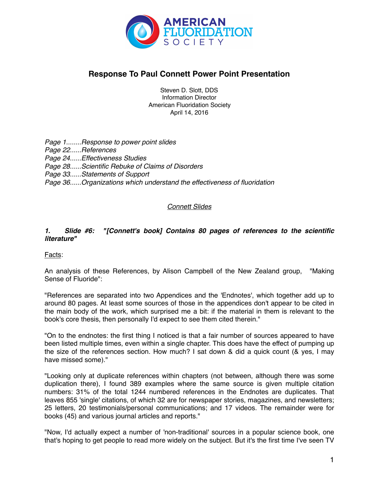

# **Response To Paul Connett Power Point Presentation**

Steven D. Slott, DDS Information Director American Fluoridation Society April 14, 2016

*Page 1........Response to power point slides Page 22......References Page 24......Effectiveness Studies Page 28......Scientific Rebuke of Claims of Disorders Page 33......Statements of Support Page 36......Organizations which understand the effectiveness of fluoridation*

# *Connett Slides*

# *1. Slide #6: "[Connett's book] Contains 80 pages of references to the scientific literature"*

Facts:

An analysis of these References, by Alison Campbell of the New Zealand group, "Making Sense of Fluoride":

"References are separated into two Appendices and the 'Endnotes', which together add up to around 80 pages. At least some sources of those in the appendices don't appear to be cited in the main body of the work, which surprised me a bit: if the material in them is relevant to the book's core thesis, then personally I'd expect to see them cited therein."

"On to the endnotes: the first thing I noticed is that a fair number of sources appeared to have been listed multiple times, even within a single chapter. This does have the effect of pumping up the size of the references section. How much? I sat down & did a quick count (& yes, I may have missed some)."

"Looking only at duplicate references within chapters (not between, although there was some duplication there), I found 389 examples where the same source is given multiple citation numbers: 31% of the total 1244 numbered references in the Endnotes are duplicates. That leaves 855 'single' citations, of which 32 are for newspaper stories, magazines, and newsletters; 25 letters, 20 testimonials/personal communications; and 17 videos. The remainder were for books (45) and various journal articles and reports."

"Now, I'd actually expect a number of 'non-traditional' sources in a popular science book, one that's hoping to get people to read more widely on the subject. But it's the first time I've seen TV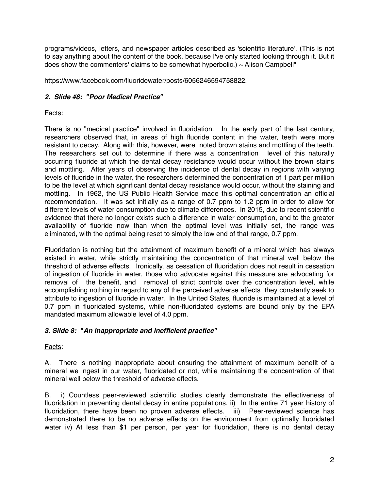programs/videos, letters, and newspaper articles described as 'scientific literature'. (This is not to say anything about the content of the book, because I've only started looking through it. But it does show the commenters' claims to be somewhat hyperbolic.)  $\sim$  Alison Campbell"

# <https://www.facebook.com/fluoridewater/posts/6056246594758822>.

# *2. Slide #8: "Poor Medical Practice"*

# Facts:

There is no "medical practice" involved in fluoridation. In the early part of the last century, researchers observed that, in areas of high fluoride content in the water, teeth were more resistant to decay. Along with this, however, were noted brown stains and mottling of the teeth. The researchers set out to determine if there was a concentration level of this naturally occurring fluoride at which the dental decay resistance would occur without the brown stains and mottling. After years of observing the incidence of dental decay in regions with varying levels of fluoride in the water, the researchers determined the concentration of 1 part per million to be the level at which significant dental decay resistance would occur, without the staining and mottling. In 1962, the US Public Health Service made this optimal concentration an official recommendation. It was set initially as a range of 0.7 ppm to 1.2 ppm in order to allow for different levels of water consumption due to climate differences. In 2015, due to recent scientific evidence that there no longer exists such a difference in water consumption, and to the greater availability of fluoride now than when the optimal level was initially set, the range was eliminated, with the optimal being reset to simply the low end of that range, 0.7 ppm.

Fluoridation is nothing but the attainment of maximum benefit of a mineral which has always existed in water, while strictly maintaining the concentration of that mineral well below the threshold of adverse effects. Ironically, as cessation of fluoridation does not result in cessation of ingestion of fluoride in water, those who advocate against this measure are advocating for removal of the benefit, and removal of strict controls over the concentration level, while accomplishing nothing in regard to any of the perceived adverse effects they constantly seek to attribute to ingestion of fluoride in water. In the United States, fluoride is maintained at a level of 0.7 ppm in fluoridated systems, while non-fluoridated systems are bound only by the EPA mandated maximum allowable level of 4.0 ppm.

# *3. Slide 8: "An inappropriate and inefficient practice"*

# Facts:

A. There is nothing inappropriate about ensuring the attainment of maximum benefit of a mineral we ingest in our water, fluoridated or not, while maintaining the concentration of that mineral well below the threshold of adverse effects.

B. i) Countless peer-reviewed scientific studies clearly demonstrate the effectiveness of fluoridation in preventing dental decay in entire populations. ii) In the entire 71 year history of fluoridation, there have been no proven adverse effects. iii) Peer-reviewed science has demonstrated there to be no adverse effects on the environment from optimally fluoridated water iv) At less than \$1 per person, per year for fluoridation, there is no dental decay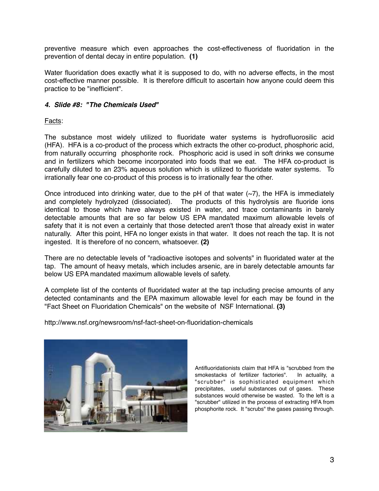preventive measure which even approaches the cost-effectiveness of fluoridation in the prevention of dental decay in entire population. **(1)**

Water fluoridation does exactly what it is supposed to do, with no adverse effects, in the most cost-effective manner possible. It is therefore difficult to ascertain how anyone could deem this practice to be "inefficient".

### *4. Slide #8: "The Chemicals Used"*

Facts:

The substance most widely utilized to fluoridate water systems is hydrofluorosilic acid (HFA). HFA is a co-product of the process which extracts the other co-product, phosphoric acid, from naturally occurring phosphorite rock. Phosphoric acid is used in soft drinks we consume and in fertilizers which become incorporated into foods that we eat. The HFA co-product is carefully diluted to an 23% aqueous solution which is utilized to fluoridate water systems. To irrationally fear one co-product of this process is to irrationally fear the other.

Once introduced into drinking water, due to the pH of that water  $(-7)$ , the HFA is immediately and completely hydrolyzed (dissociated). The products of this hydrolysis are fluoride ions identical to those which have always existed in water, and trace contaminants in barely detectable amounts that are so far below US EPA mandated maximum allowable levels of safety that it is not even a certainly that those detected aren't those that already exist in water naturally. After this point, HFA no longer exists in that water. It does not reach the tap. It is not ingested. It is therefore of no concern, whatsoever. **(2)**

There are no detectable levels of "radioactive isotopes and solvents" in fluoridated water at the tap. The amount of heavy metals, which includes arsenic, are in barely detectable amounts far below US EPA mandated maximum allowable levels of safety.

A complete list of the contents of fluoridated water at the tap including precise amounts of any detected contaminants and the EPA maximum allowable level for each may be found in the "Fact Sheet on Fluoridation Chemicals" on the website of NSF International. **(3)**

http://www.nsf.org/newsroom/nsf-fact-sheet-on-fluoridation-chemicals



Antifluoridationists claim that HFA is "scrubbed from the smokestacks of fertilizer factories". In actuality, a "scrubber" is sophisticated equipment which precipitates, useful substances out of gases. These substances would otherwise be wasted. To the left is a "scrubber" utilized in the process of extracting HFA from phosphorite rock. It "scrubs" the gases passing through.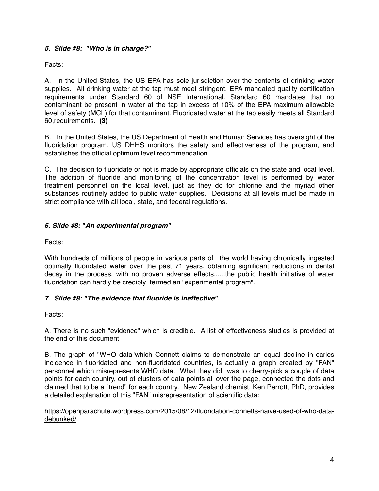# *5. Slide #8: "Who is in charge?"*

Facts:

A. In the United States, the US EPA has sole jurisdiction over the contents of drinking water supplies. All drinking water at the tap must meet stringent, EPA mandated quality certification requirements under Standard 60 of NSF International. Standard 60 mandates that no contaminant be present in water at the tap in excess of 10% of the EPA maximum allowable level of safety (MCL) for that contaminant. Fluoridated water at the tap easily meets all Standard 60,requirements. **(3)**

B. In the United States, the US Department of Health and Human Services has oversight of the fluoridation program. US DHHS monitors the safety and effectiveness of the program, and establishes the official optimum level recommendation.

C. The decision to fluoridate or not is made by appropriate officials on the state and local level. The addition of fluoride and monitoring of the concentration level is performed by water treatment personnel on the local level, just as they do for chlorine and the myriad other substances routinely added to public water supplies. Decisions at all levels must be made in strict compliance with all local, state, and federal regulations.

# *6. Slide #8: "An experimental program"*

Facts:

With hundreds of millions of people in various parts of the world having chronically ingested optimally fluoridated water over the past 71 years, obtaining significant reductions in dental decay in the process, with no proven adverse effects......the public health initiative of water fluoridation can hardly be credibly termed an "experimental program".

### *7. Slide #8: "The evidence that fluoride is ineffective"***.**

Facts:

A. There is no such "evidence" which is credible. A list of effectiveness studies is provided at the end of this document

B. The graph of "WHO data"which Connett claims to demonstrate an equal decline in caries incidence in fluoridated and non-fluoridated countries, is actually a graph created by "FAN" personnel which misrepresents WHO data. What they did was to cherry-pick a couple of data points for each country, out of clusters of data points all over the page, connected the dots and claimed that to be a "trend" for each country. New Zealand chemist, Ken Perrott, PhD, provides a detailed explanation of this "FAN" misrepresentation of scientific data:

[https://openparachute.wordpress.com/2015/08/12/fluoridation-connetts-naive-used-of-who-data](https://openparachute.wordpress.com/2015/08/12/fluoridation-connetts-naive-used-of-who-data-debunked/)debunked/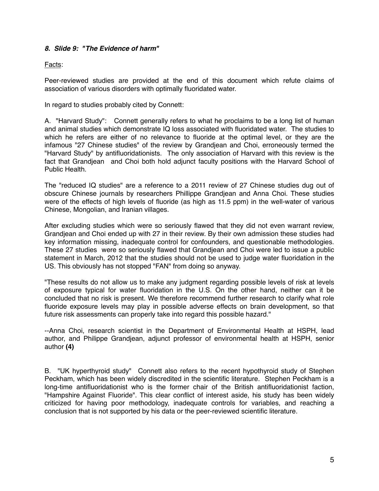### *8. Slide 9: "The Evidence of harm"*

### Facts:

Peer-reviewed studies are provided at the end of this document which refute claims of association of various disorders with optimally fluoridated water.

In regard to studies probably cited by Connett:

A. "Harvard Study": Connett generally refers to what he proclaims to be a long list of human and animal studies which demonstrate IQ loss associated with fluoridated water. The studies to which he refers are either of no relevance to fluoride at the optimal level, or they are the infamous "27 Chinese studies" of the review by Grandjean and Choi, erroneously termed the "Harvard Study" by antifluoridationists. The only association of Harvard with this review is the fact that Grandjean and Choi both hold adjunct faculty positions with the Harvard School of Public Health.

The "reduced IQ studies" are a reference to a 2011 review of 27 Chinese studies dug out of obscure Chinese journals by researchers Phillippe Grandjean and Anna Choi. These studies were of the effects of high levels of fluoride (as high as 11.5 ppm) in the well-water of various Chinese, Mongolian, and Iranian villages.

After excluding studies which were so seriously flawed that they did not even warrant review, Grandjean and Choi ended up with 27 in their review. By their own admission these studies had key information missing, inadequate control for confounders, and questionable methodologies. These 27 studies were so seriously flawed that Grandjean and Choi were led to issue a public statement in March, 2012 that the studies should not be used to judge water fluoridation in the US. This obviously has not stopped "FAN" from doing so anyway.

"These results do not allow us to make any judgment regarding possible levels of risk at levels of exposure typical for water fluoridation in the U.S. On the other hand, neither can it be concluded that no risk is present. We therefore recommend further research to clarify what role fluoride exposure levels may play in possible adverse effects on brain development, so that future risk assessments can properly take into regard this possible hazard."

--Anna Choi, research scientist in the Department of Environmental Health at HSPH, lead author, and Philippe Grandjean, adjunct professor of environmental health at HSPH, senior author **(4)**

B. "UK hyperthyroid study" Connett also refers to the recent hypothyroid study of Stephen Peckham, which has been widely discredited in the scientific literature. Stephen Peckham is a long-time antifluoridationist who is the former chair of the British antifluoridationist faction, "Hampshire Against Fluoride". This clear conflict of interest aside, his study has been widely criticized for having poor methodology, inadequate controls for variables, and reaching a conclusion that is not supported by his data or the peer-reviewed scientific literature.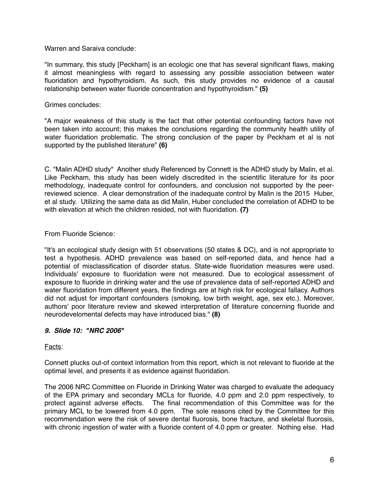Warren and Saraiva conclude:

"In summary, this study [Peckham] is an ecologic one that has several significant flaws, making it almost meaningless with regard to assessing any possible association between water fluoridation and hypothyroidism. As such, this study provides no evidence of a causal relationship between water fluoride concentration and hypothyroidism." **(5)**

Grimes concludes:

"A major weakness of this study is the fact that other potential confounding factors have not been taken into account; this makes the conclusions regarding the community health utility of water fluoridation problematic. The strong conclusion of the paper by Peckham et al is not supported by the published literature" **(6)**

C. "Malin ADHD study" Another study Referenced by Connett is the ADHD study by Malin, et al. Like Peckham, this study has been widely discredited in the scientific literature for its poor methodology, inadequate control for confounders, and conclusion not supported by the peerreviewed science. A clear demonstration of the inadequate control by Malin is the 2015 Huber, et al study. Utilizing the same data as did Malin, Huber concluded the correlation of ADHD to be with elevation at which the children resided, not with fluoridation. **(7)**

### From Fluoride Science:

"It's an ecological study design with 51 observations (50 states & DC), and is not appropriate to test a hypothesis. ADHD prevalence was based on self-reported data, and hence had a potential of misclassification of disorder status. State-wide fluoridation measures were used. Individuals' exposure to fluoridation were not measured. Due to ecological assessment of exposure to fluoride in drinking water and the use of prevalence data of self-reported ADHD and water fluoridation from different years, the findings are at high risk for ecological fallacy. Authors did not adjust for important confounders (smoking, low birth weight, age, sex etc.). Moreover, authors' poor literature review and skewed interpretation of literature concerning fluoride and neurodevelomental defects may have introduced bias." **(8)**

### *9. Slide 10: "NRC 2006"*

Facts:

Connett plucks out-of context information from this report, which is not relevant to fluoride at the optimal level, and presents it as evidence against fluoridation.

The 2006 NRC Committee on Fluoride in Drinking Water was charged to evaluate the adequacy of the EPA primary and secondary MCLs for fluoride, 4.0 ppm and 2.0 ppm respectively, to protect against adverse effects. The final recommendation of this Committee was for the primary MCL to be lowered from 4.0 ppm. The sole reasons cited by the Committee for this recommendation were the risk of severe dental fluorosis, bone fracture, and skeletal fluorosis, with chronic ingestion of water with a fluoride content of 4.0 ppm or greater. Nothing else. Had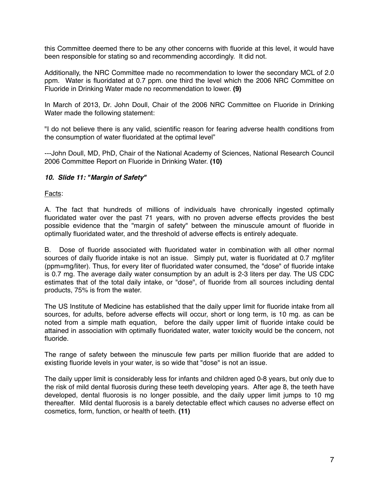this Committee deemed there to be any other concerns with fluoride at this level, it would have been responsible for stating so and recommending accordingly. It did not.

Additionally, the NRC Committee made no recommendation to lower the secondary MCL of 2.0 ppm. Water is fluoridated at 0.7 ppm. one third the level which the 2006 NRC Committee on Fluoride in Drinking Water made no recommendation to lower. **(9)**

In March of 2013, Dr. John Doull, Chair of the 2006 NRC Committee on Fluoride in Drinking Water made the following statement:

"I do not believe there is any valid, scientific reason for fearing adverse health conditions from the consumption of water fluoridated at the optimal level"

---John Doull, MD, PhD, Chair of the National Academy of Sciences, National Research Council 2006 Committee Report on Fluoride in Drinking Water. **(10)**

### *10. Slide 11: "Margin of Safety"*

Facts:

A. The fact that hundreds of millions of individuals have chronically ingested optimally fluoridated water over the past 71 years, with no proven adverse effects provides the best possible evidence that the "margin of safety" between the minuscule amount of fluoride in optimally fluoridated water, and the threshold of adverse effects is entirely adequate.

B. Dose of fluoride associated with fluoridated water in combination with all other normal sources of daily fluoride intake is not an issue. Simply put, water is fluoridated at 0.7 mg/liter (ppm=mg/liter). Thus, for every liter of fluoridated water consumed, the "dose" of fluoride intake is 0.7 mg. The average daily water consumption by an adult is 2-3 liters per day. The US CDC estimates that of the total daily intake, or "dose", of fluoride from all sources including dental products, 75% is from the water.

The US Institute of Medicine has established that the daily upper limit for fluoride intake from all sources, for adults, before adverse effects will occur, short or long term, is 10 mg. as can be noted from a simple math equation, before the daily upper limit of fluoride intake could be attained in association with optimally fluoridated water, water toxicity would be the concern, not fluoride.

The range of safety between the minuscule few parts per million fluoride that are added to existing fluoride levels in your water, is so wide that "dose" is not an issue.

The daily upper limit is considerably less for infants and children aged 0-8 years, but only due to the risk of mild dental fluorosis during these teeth developing years. After age 8, the teeth have developed, dental fluorosis is no longer possible, and the daily upper limit jumps to 10 mg thereafter. Mild dental fluorosis is a barely detectable effect which causes no adverse effect on cosmetics, form, function, or health of teeth. **(11)**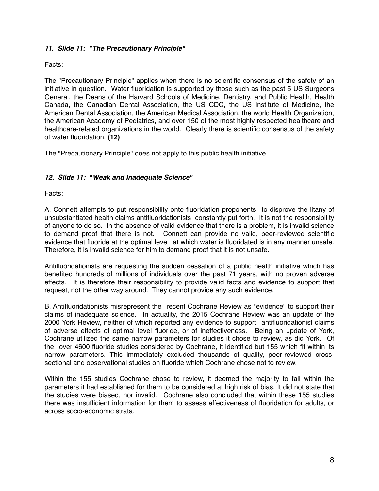# *11. Slide 11: "The Precautionary Principle"*

# Facts:

The "Precautionary Principle" applies when there is no scientific consensus of the safety of an initiative in question. Water fluoridation is supported by those such as the past 5 US Surgeons General, the Deans of the Harvard Schools of Medicine, Dentistry, and Public Health, Health Canada, the Canadian Dental Association, the US CDC, the US Institute of Medicine, the American Dental Association, the American Medical Association, the world Health Organization, the American Academy of Pediatrics, and over 150 of the most highly respected healthcare and healthcare-related organizations in the world. Clearly there is scientific consensus of the safety of water fluoridation. **(12)**

The "Precautionary Principle" does not apply to this public health initiative.

# *12. Slide 11: "Weak and Inadequate Science"*

Facts:

A. Connett attempts to put responsibility onto fluoridation proponents to disprove the litany of unsubstantiated health claims antifluoridationists constantly put forth. It is not the responsibility of anyone to do so. In the absence of valid evidence that there is a problem, it is invalid science to demand proof that there is not. Connett can provide no valid, peer-reviewed scientific evidence that fluoride at the optimal level at which water is fluoridated is in any manner unsafe. Therefore, it is invalid science for him to demand proof that it is not unsafe.

Antifluoridationists are requesting the sudden cessation of a public health initiative which has benefited hundreds of millions of individuals over the past 71 years, with no proven adverse effects. It is therefore their responsibility to provide valid facts and evidence to support that request, not the other way around. They cannot provide any such evidence.

B. Antifluoridationists misrepresent the recent Cochrane Review as "evidence" to support their claims of inadequate science. In actuality, the 2015 Cochrane Review was an update of the 2000 York Review, neither of which reported any evidence to support antifluoridationist claims of adverse effects of optimal level fluoride, or of ineffectiveness. Being an update of York, Cochrane utilized the same narrow parameters for studies it chose to review, as did York. Of the over 4600 fluoride studies considered by Cochrane, it identified but 155 which fit within its narrow parameters. This immediately excluded thousands of quality, peer-reviewed crosssectional and observational studies on fluoride which Cochrane chose not to review.

Within the 155 studies Cochrane chose to review, it deemed the majority to fall within the parameters it had established for them to be considered at high risk of bias. It did not state that the studies were biased, nor invalid. Cochrane also concluded that within these 155 studies there was insufficient information for them to assess effectiveness of fluoridation for adults, or across socio-economic strata.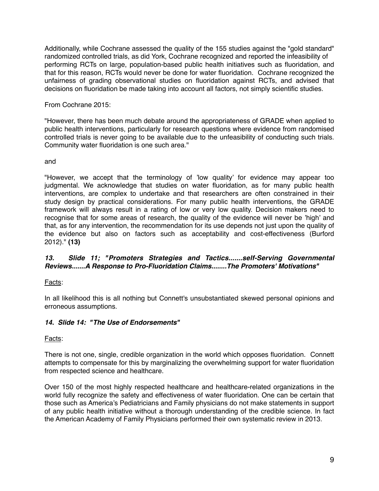Additionally, while Cochrane assessed the quality of the 155 studies against the "gold standard" randomized controlled trials, as did York, Cochrane recognized and reported the infeasibility of performing RCTs on large, population-based public health initiatives such as fluoridation, and that for this reason, RCTs would never be done for water fluoridation. Cochrane recognized the unfairness of grading observational studies on fluoridation against RCTs, and advised that decisions on fluoridation be made taking into account all factors, not simply scientific studies.

From Cochrane 2015:

"However, there has been much debate around the appropriateness of GRADE when applied to public health interventions, particularly for research questions where evidence from randomised controlled trials is never going to be available due to the unfeasibility of conducting such trials. Community water fluoridation is one such area."

and

"However, we accept that the terminology of 'low quality' for evidence may appear too judgmental. We acknowledge that studies on water fluoridation, as for many public health interventions, are complex to undertake and that researchers are often constrained in their study design by practical considerations. For many public health interventions, the GRADE framework will always result in a rating of low or very low quality. Decision makers need to recognise that for some areas of research, the quality of the evidence will never be 'high' and that, as for any intervention, the recommendation for its use depends not just upon the quality of the evidence but also on factors such as acceptability and cost-effectiveness (Burford 2012)." **(13)**

### *13. Slide 11; "Promoters Strategies and Tactics.......self-Serving Governmental Reviews.......A Response to Pro-Fluoridation Claims........The Promoters' Motivations"*

Facts:

In all likelihood this is all nothing but Connett's unsubstantiated skewed personal opinions and erroneous assumptions.

# *14. Slide 14: "The Use of Endorsements"*

Facts:

There is not one, single, credible organization in the world which opposes fluoridation. Connett attempts to compensate for this by marginalizing the overwhelming support for water fluoridation from respected science and healthcare.

Over 150 of the most highly respected healthcare and healthcare-related organizations in the world fully recognize the safety and effectiveness of water fluoridation. One can be certain that those such as America's Pediatricians and Family physicians do not make statements in support of any public health initiative without a thorough understanding of the credible science. In fact the American Academy of Family Physicians performed their own systematic review in 2013.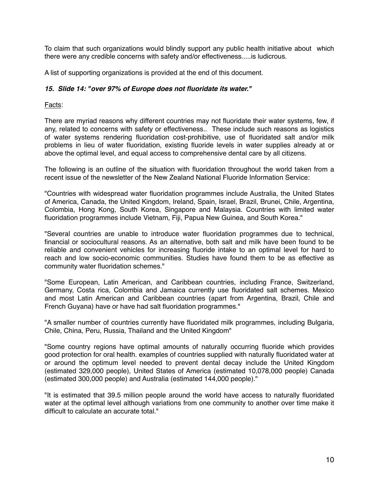To claim that such organizations would blindly support any public health initiative about which there were any credible concerns with safety and/or effectiveness.....is ludicrous.

A list of supporting organizations is provided at the end of this document.

# *15. Slide 14: "over 97% of Europe does not fluoridate its water."*

# Facts:

There are myriad reasons why different countries may not fluoridate their water systems, few, if any, related to concerns with safety or effectiveness.. These include such reasons as logistics of water systems rendering fluoridation cost-prohibitive, use of fluoridated salt and/or milk problems in lieu of water fluoridation, existing fluoride levels in water supplies already at or above the optimal level, and equal access to comprehensive dental care by all citizens.

The following is an outline of the situation with fluoridation throughout the world taken from a recent issue of the newsletter of the New Zealand National Fluoride Information Service:

"Countries with widespread water fluoridation programmes include Australia, the United States of America, Canada, the United Kingdom, Ireland, Spain, Israel, Brazil, Brunei, Chile, Argentina, Colombia, Hong Kong, South Korea, Singapore and Malaysia. Countries with limited water fluoridation programmes include Vietnam, Fiji, Papua New Guinea, and South Korea."

"Several countries are unable to introduce water fluoridation programmes due to technical, financial or sociocultural reasons. As an alternative, both salt and milk have been found to be reliable and convenient vehicles for increasing fluoride intake to an optimal level for hard to reach and low socio-economic communities. Studies have found them to be as effective as community water fluoridation schemes."

"Some European, Latin American, and Caribbean countries, including France, Switzerland, Germany, Costa rica, Colombia and Jamaica currently use fluoridated salt schemes. Mexico and most Latin American and Caribbean countries (apart from Argentina, Brazil, Chile and French Guyana) have or have had salt fluoridation programmes."

"A smaller number of countries currently have fluoridated milk programmes, including Bulgaria, Chile, China, Peru, Russia, Thailand and the United Kingdom"

"Some country regions have optimal amounts of naturally occurring fluoride which provides good protection for oral health. examples of countries supplied with naturally fluoridated water at or around the optimum level needed to prevent dental decay include the United Kingdom (estimated 329,000 people), United States of America (estimated 10,078,000 people) Canada (estimated 300,000 people) and Australia (estimated 144,000 people)."

"It is estimated that 39.5 million people around the world have access to naturally fluoridated water at the optimal level although variations from one community to another over time make it difficult to calculate an accurate total."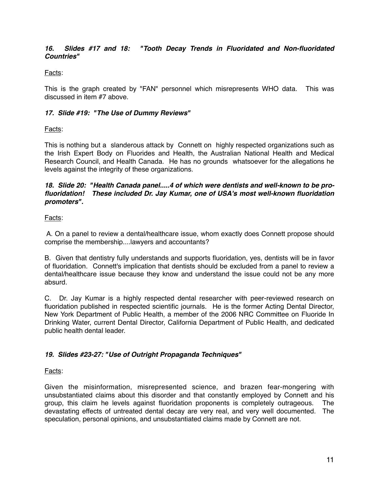# *16. Slides #17 and 18: "Tooth Decay Trends in Fluoridated and Non-fluoridated Countries"*

### Facts:

This is the graph created by "FAN" personnel which misrepresents WHO data. This was discussed in item #7 above.

### *17. Slide #19: "The Use of Dummy Reviews"*

Facts:

This is nothing but a slanderous attack by Connett on highly respected organizations such as the Irish Expert Body on Fluorides and Health, the Australian National Health and Medical Research Council, and Health Canada. He has no grounds whatsoever for the allegations he levels against the integrity of these organizations.

#### *18. Slide 20: "Health Canada panel.....4 of which were dentists and well-known to be profluoridation! These included Dr. Jay Kumar, one of USA's most well-known fluoridation promoters".*

# Facts:

 A. On a panel to review a dental/healthcare issue, whom exactly does Connett propose should comprise the membership....lawyers and accountants?

B. Given that dentistry fully understands and supports fluoridation, yes, dentists will be in favor of fluoridation. Connett's implication that dentists should be excluded from a panel to review a dental/healthcare issue because they know and understand the issue could not be any more absurd.

C. Dr. Jay Kumar is a highly respected dental researcher with peer-reviewed research on fluoridation published in respected scientific journals. He is the former Acting Dental Director, New York Department of Public Health, a member of the 2006 NRC Committee on Fluoride In Drinking Water, current Dental Director, California Department of Public Health, and dedicated public health dental leader.

# *19. Slides #23-27: "Use of Outright Propaganda Techniques"*

### Facts:

Given the misinformation, misrepresented science, and brazen fear-mongering with unsubstantiated claims about this disorder and that constantly employed by Connett and his group, this claim he levels against fluoridation proponents is completely outrageous. The devastating effects of untreated dental decay are very real, and very well documented. The speculation, personal opinions, and unsubstantiated claims made by Connett are not.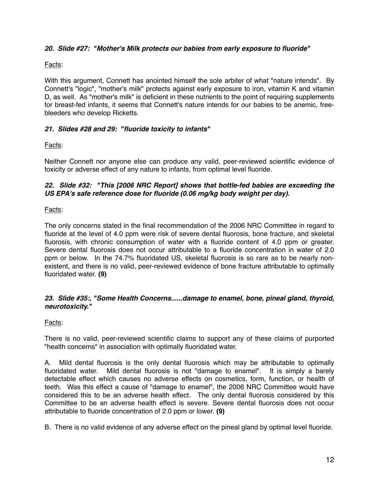# *20. Slide #27: "Mother's Milk protects our babies from early exposure to fluoride"*

### Facts:

With this argument, Connett has anointed himself the sole arbiter of what "nature intends". By Connett's "logic", "mother's milk" protects against early exposure to iron, vitamin K and vitamin D, as well. As "mother's milk" is deficient in these nutrients to the point of requiring supplements for breast-fed infants, it seems that Connett's nature intends for our babies to be anemic, freebleeders who develop Ricketts.

# *21. Slides #28 and 29: "fluoride toxicity to infants"*

# Facts:

Neither Connett nor anyone else can produce any valid, peer-reviewed scientific evidence of toxicity or adverse effect of any nature to infants, from optimal level fluoride.

### *22. Slide #32: "This [2006 NRC Report] shows that bottle-fed babies are exceeding the US EPA's safe reference dose for fluoride (0.06 mg/kg body weight per day).*

### Facts:

The only concerns stated in the final recommendation of the 2006 NRC Committee in regard to fluoride at the level of 4.0 ppm were risk of severe dental fluorosis, bone fracture, and skeletal fluorosis, with chronic consumption of water with a fluoride content of 4.0 ppm or greater. Severe dental fluorosis does not occur attributable to a fluoride concentration in water of 2.0 ppm or below. In the 74.7% fluoridated US, skeletal fluorosis is so rare as to be nearly nonexistent, and there is no valid, peer-reviewed evidence of bone fracture attributable to optimally fluoridated water. **(9)**

### *23. Slide #35:, "Some Health Concerns......damage to enamel, bone, pineal gland, thyroid, neurotoxicity."*

### Facts:

There is no valid, peer-reviewed scientific claims to support any of these claims of purported "health concerns" in association with optimally fluoridated water.

A. Mild dental fluorosis is the only dental fluorosis which may be attributable to optimally fluoridated water. Mild dental fluorosis is not "damage to enamel". It is simply a barely detectable effect which causes no adverse effects on cosmetics, form, function, or health of teeth. Was this effect a cause of "damage to enamel", the 2006 NRC Committee would have considered this to be an adverse health effect. The only dental fluorosis considered by this Committee to be an adverse health effect is severe. Severe dental fluorosis does not occur attributable to fluoride concentration of 2.0 ppm or lower. **(9)**

B. There is no valid evidence of any adverse effect on the pineal gland by optimal level fluoride.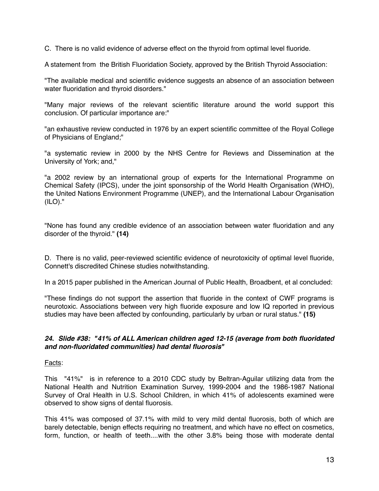C. There is no valid evidence of adverse effect on the thyroid from optimal level fluoride.

A statement from the British Fluoridation Society, approved by the British Thyroid Association:

"The available medical and scientific evidence suggests an absence of an association between water fluoridation and thyroid disorders."

"Many major reviews of the relevant scientific literature around the world support this conclusion. Of particular importance are:"

"an exhaustive review conducted in 1976 by an expert scientific committee of the Royal College of Physicians of England;"

"a systematic review in 2000 by the NHS Centre for Reviews and Dissemination at the University of York; and,"

"a 2002 review by an international group of experts for the International Programme on Chemical Safety (IPCS), under the joint sponsorship of the World Health Organisation (WHO), the United Nations Environment Programme (UNEP), and the International Labour Organisation (ILO)."

"None has found any credible evidence of an association between water fluoridation and any disorder of the thyroid." **(14)**

D. There is no valid, peer-reviewed scientific evidence of neurotoxicity of optimal level fluoride, Connett's discredited Chinese studies notwithstanding.

In a 2015 paper published in the American Journal of Public Health, Broadbent, et al concluded:

"These findings do not support the assertion that fluoride in the context of CWF programs is neurotoxic. Associations between very high fluoride exposure and low IQ reported in previous studies may have been affected by confounding, particularly by urban or rural status." **(15)**

### *24***.** *Slide #38: "41% of ALL American children aged 12-15 (average from both fluoridated and non-fluoridated communities) had dental fluorosis"*

### Facts:

This "41%" is in reference to a 2010 CDC study by Beltran-Aguilar utilizing data from the National Health and Nutrition Examination Survey, 1999-2004 and the 1986-1987 National Survey of Oral Health in U.S. School Children, in which 41% of adolescents examined were observed to show signs of dental fluorosis.

This 41% was composed of 37.1% with mild to very mild dental fluorosis, both of which are barely detectable, benign effects requiring no treatment, and which have no effect on cosmetics, form, function, or health of teeth....with the other 3.8% being those with moderate dental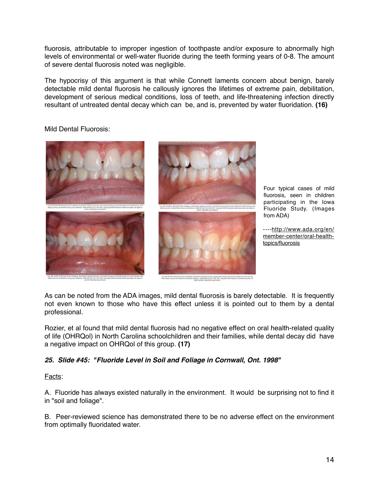fluorosis, attributable to improper ingestion of toothpaste and/or exposure to abnormally high levels of environmental or well-water fluoride during the teeth forming years of 0-8. The amount of severe dental fluorosis noted was negligible.

The hypocrisy of this argument is that while Connett laments concern about benign, barely detectable mild dental fluorosis he callously ignores the lifetimes of extreme pain, debilitation, development of serious medical conditions, loss of teeth, and life-threatening infection directly resultant of untreated dental decay which can be, and is, prevented by water fluoridation. **(16)**

Mild Dental Fluorosis:



Four typical cases of mild fluorosis, seen in children participating in the Iowa Fluoride Study. (Images from ADA)

[----http://www.ada.org/en/](http://www.ada.org/en/member-center/oral-health-topics/fluorosis) member-center/oral-healthtopics/fluorosis

As can be noted from the ADA images, mild dental fluorosis is barely detectable. It is frequently not even known to those who have this effect unless it is pointed out to them by a dental professional.

Rozier, et al found that mild dental fluorosis had no negative effect on oral health-related quality of life (OHRQol) in North Carolina schoolchildren and their families, while dental decay did have a negative impact on OHRQol of this group. **(17)**

# *25. Slide #45: "Fluoride Level in Soil and Foliage in Cornwall, Ont. 1998"*

Facts:

A. Fluoride has always existed naturally in the environment. It would be surprising not to find it in "soil and foliage".

B. Peer-reviewed science has demonstrated there to be no adverse effect on the environment from optimally fluoridated water.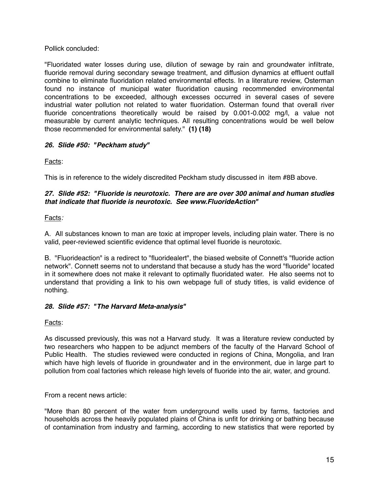Pollick concluded:

"Fluoridated water losses during use, dilution of sewage by rain and groundwater infiltrate, fluoride removal during secondary sewage treatment, and diffusion dynamics at effluent outfall combine to eliminate fluoridation related environmental effects. In a literature review, Osterman found no instance of municipal water fluoridation causing recommended environmental concentrations to be exceeded, although excesses occurred in several cases of severe industrial water pollution not related to water fluoridation. Osterman found that overall river fluoride concentrations theoretically would be raised by 0.001-0.002 mg/l, a value not measurable by current analytic techniques. All resulting concentrations would be well below those recommended for environmental safety." **(1) (18)**

# *26. Slide #50: "Peckham study"*

Facts:

This is in reference to the widely discredited Peckham study discussed in item #8B above.

# *27. Slide #52: "Fluoride is neurotoxic. There are are over 300 animal and human studies that indicate that fluoride is neurotoxic. See www.FluorideAction"*

# Facts*:*

A. All substances known to man are toxic at improper levels, including plain water. There is no valid, peer-reviewed scientific evidence that optimal level fluoride is neurotoxic.

B. "Fluorideaction" is a redirect to "fluoridealert", the biased website of Connett's "fluoride action network". Connett seems not to understand that because a study has the word "fluoride" located in it somewhere does not make it relevant to optimally fluoridated water. He also seems not to understand that providing a link to his own webpage full of study titles, is valid evidence of nothing.

# *28. Slide #57: "The Harvard Meta-analysis"*

Facts:

As discussed previously, this was not a Harvard study. It was a literature review conducted by two researchers who happen to be adjunct members of the faculty of the Harvard School of Public Health. The studies reviewed were conducted in regions of China, Mongolia, and Iran which have high levels of fluoride in groundwater and in the environment, due in large part to pollution from coal factories which release high levels of fluoride into the air, water, and ground.

From a recent news article:

"More than 80 percent of the water from underground wells used by farms, factories and households across the heavily populated plains of China is unfit for drinking or bathing because of contamination from industry and farming, according to new statistics that were reported by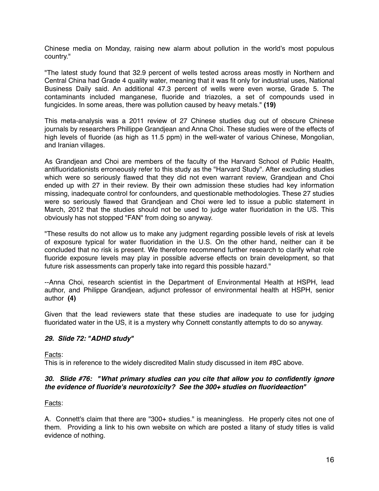Chinese media on Monday, raising new alarm about pollution in the world's most populous country."

"The latest study found that 32.9 percent of wells tested across areas mostly in Northern and Central China had Grade 4 quality water, meaning that it was fit only for industrial uses, National Business Daily said. An additional 47.3 percent of wells were even worse, Grade 5. The contaminants included manganese, fluoride and triazoles, a set of compounds used in fungicides. In some areas, there was pollution caused by heavy metals." **(19)**

This meta-analysis was a 2011 review of 27 Chinese studies dug out of obscure Chinese journals by researchers Phillippe Grandjean and Anna Choi. These studies were of the effects of high levels of fluoride (as high as 11.5 ppm) in the well-water of various Chinese, Mongolian, and Iranian villages.

As Grandjean and Choi are members of the faculty of the Harvard School of Public Health, antifluoridationists erroneously refer to this study as the "Harvard Study". After excluding studies which were so seriously flawed that they did not even warrant review, Grandjean and Choi ended up with 27 in their review. By their own admission these studies had key information missing, inadequate control for confounders, and questionable methodologies. These 27 studies were so seriously flawed that Grandjean and Choi were led to issue a public statement in March, 2012 that the studies should not be used to judge water fluoridation in the US. This obviously has not stopped "FAN" from doing so anyway.

"These results do not allow us to make any judgment regarding possible levels of risk at levels of exposure typical for water fluoridation in the U.S. On the other hand, neither can it be concluded that no risk is present. We therefore recommend further research to clarify what role fluoride exposure levels may play in possible adverse effects on brain development, so that future risk assessments can properly take into regard this possible hazard."

--Anna Choi, research scientist in the Department of Environmental Health at HSPH, lead author, and Philippe Grandjean, adjunct professor of environmental health at HSPH, senior author **(4)**

Given that the lead reviewers state that these studies are inadequate to use for judging fluoridated water in the US, it is a mystery why Connett constantly attempts to do so anyway.

### *29. Slide 72: "ADHD study"*

Facts:

This is in reference to the widely discredited Malin study discussed in item #8C above.

### *30. Slide #76: "What primary studies can you cite that al***ł***ow you to confidently ignore the evidence of fluoride's neurotoxicity? See the 300+ studies on fluorideaction"*

Facts:

A. Connett's claim that there are "300+ studies." is meaningless. He properly cites not one of them. Providing a link to his own website on which are posted a litany of study titles is valid evidence of nothing.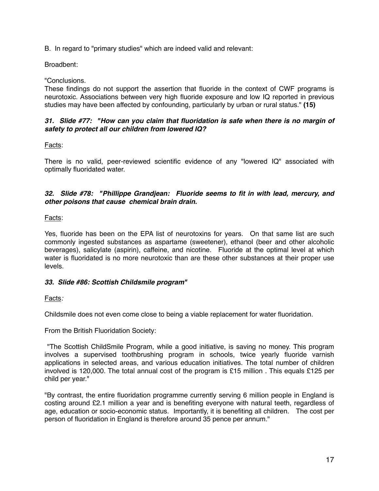B. In regard to "primary studies" which are indeed valid and relevant:

Broadbent:

"Conclusions.

These findings do not support the assertion that fluoride in the context of CWF programs is neurotoxic. Associations between very high fluoride exposure and low IQ reported in previous studies may have been affected by confounding, particularly by urban or rural status." **(15)**

### *31. Slide #77: "How can you claim that fluoridation is safe when there is no margin of safety to protect all our children from lowered IQ?*

Facts:

There is no valid, peer-reviewed scientific evidence of any "lowered IQ" associated with optimally fluoridated water.

# 32. Slide #78: "Phillippe Grandjean: Fluoride seems to fit in with lead, mercury, and *other poisons that cause chemical brain drain.*

Facts:

Yes, fluoride has been on the EPA list of neurotoxins for years. On that same list are such commonly ingested substances as aspartame (sweetener), ethanol (beer and other alcoholic beverages), salicylate (aspirin), caffeine, and nicotine. Fluoride at the optimal level at which water is fluoridated is no more neurotoxic than are these other substances at their proper use levels.

### *33. Slide #86: Scottish Childsmile program"*

Facts*:*

Childsmile does not even come close to being a viable replacement for water fluoridation.

From the British Fluoridation Society:

 "The Scottish ChildSmile Program, while a good initiative, is saving no money. This program involves a supervised toothbrushing program in schools, twice yearly fluoride varnish applications in selected areas, and various education initiatives. The total number of children involved is 120,000. The total annual cost of the program is £15 million . This equals £125 per child per year."

"By contrast, the entire fluoridation programme currently serving 6 million people in England is costing around £2.1 million a year and is benefiting everyone with natural teeth, regardless of age, education or socio-economic status. Importantly, it is benefiting all children. The cost per person of fluoridation in England is therefore around 35 pence per annum."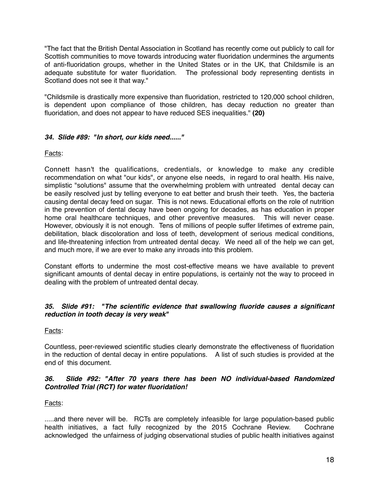"The fact that the British Dental Association in Scotland has recently come out publicly to call for Scottish communities to move towards introducing water fluoridation undermines the arguments of anti-fluoridation groups, whether in the United States or in the UK, that Childsmile is an adequate substitute for water fluoridation. The professional body representing dentists in Scotland does not see it that way."

"Childsmile is drastically more expensive than fluoridation, restricted to 120,000 school children, is dependent upon compliance of those children, has decay reduction no greater than fluoridation, and does not appear to have reduced SES inequalities." **(20)**

# *34. Slide #89: "In short, our kids need......"*

# Facts:

Connett hasn't the qualifications, credentials, or knowledge to make any credible recommendation on what "our kids", or anyone else needs, in regard to oral health. His naive, simplistic "solutions" assume that the overwhelming problem with untreated dental decay can be easily resolved just by telling everyone to eat better and brush their teeth. Yes, the bacteria causing dental decay feed on sugar. This is not news. Educational efforts on the role of nutrition in the prevention of dental decay have been ongoing for decades, as has education in proper home oral healthcare techniques, and other preventive measures. This will never cease. However, obviously it is not enough. Tens of millions of people suffer lifetimes of extreme pain, debilitation, black discoloration and loss of teeth, development of serious medical conditions, and life-threatening infection from untreated dental decay. We need all of the help we can get, and much more, if we are ever to make any inroads into this problem.

Constant efforts to undermine the most cost-effective means we have available to prevent significant amounts of dental decay in entire populations, is certainly not the way to proceed in dealing with the problem of untreated dental decay.

### *35. Slide #91: "The scientific evidence that swallowing fluoride causes a significant reduction in tooth decay is very weak"*

### Facts:

Countless, peer-reviewed scientific studies clearly demonstrate the effectiveness of fluoridation in the reduction of dental decay in entire populations. A list of such studies is provided at the end of this document.

### *36. Slide #92: "After 70 years there has been NO individual-based Randomized Controlled Trial (RCT) for water fluoridation!*

### Facts:

.....and there never will be. RCTs are completely infeasible for large population-based public health initiatives, a fact fully recognized by the 2015 Cochrane Review. Cochrane acknowledged the unfairness of judging observational studies of public health initiatives against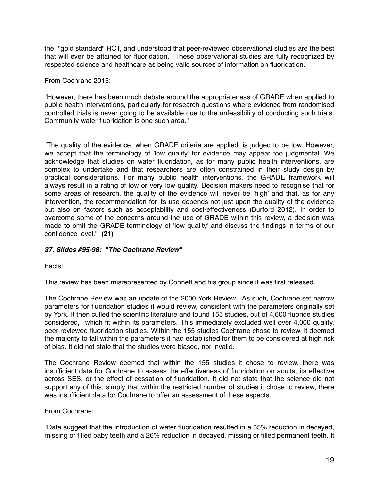the "gold standard" RCT, and understood that peer-reviewed observational studies are the best that will ever be attained for fluoridation. These observational studies are fully recognized by respected science and healthcare as being valid sources of information on fluoridation.

From Cochrane 2015:

"However, there has been much debate around the appropriateness of GRADE when applied to public health interventions, particularly for research questions where evidence from randomised controlled trials is never going to be available due to the unfeasibility of conducting such trials. Community water fluoridation is one such area."

"The quality of the evidence, when GRADE criteria are applied, is judged to be low. However, we accept that the terminology of 'low quality' for evidence may appear too judgmental. We acknowledge that studies on water fluoridation, as for many public health interventions, are complex to undertake and that researchers are often constrained in their study design by practical considerations. For many public health interventions, the GRADE framework will always result in a rating of low or very low quality. Decision makers need to recognise that for some areas of research, the quality of the evidence will never be 'high' and that, as for any intervention, the recommendation for its use depends not just upon the quality of the evidence but also on factors such as acceptability and cost-effectiveness (Burford 2012). In order to overcome some of the concerns around the use of GRADE within this review, a decision was made to omit the GRADE terminology of 'low quality' and discuss the findings in terms of our confidence level." **(21)**

# *37. Slides #95-98: "The Cochrane Review"*

Facts:

This review has been misrepresented by Connett and his group since it was first released.

The Cochrane Review was an update of the 2000 York Review. As such, Cochrane set narrow parameters for fluoridation studies it would review, consistent with the parameters originally set by York. It then culled the scientific literature and found 155 studies, out of 4,600 fluoride studies considered, which fit within its parameters. This immediately excluded well over 4,000 quality, peer-reviewed fluoridation studies. Within the 155 studies Cochrane chose to review, it deemed the majority to fall within the parameters it had established for them to be considered at high risk of bias. It did not state that the studies were biased, nor invalid.

The Cochrane Review deemed that within the 155 studies it chose to review, there was insufficient data for Cochrane to assess the effectiveness of fluoridation on adults, its effective across SES, or the effect of cessation of fluoridation. It did not state that the science did not support any of this, simply that within the restricted number of studies it chose to review, there was insufficient data for Cochrane to offer an assessment of these aspects.

From Cochrane:

"Data suggest that the introduction of water fluoridation resulted in a 35% reduction in decayed, missing or filled baby teeth and a 26% reduction in decayed, missing or filled permanent teeth. It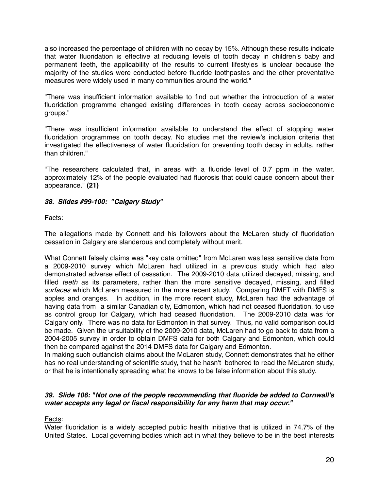also increased the percentage of children with no decay by 15%. Although these results indicate that water fluoridation is effective at reducing levels of tooth decay in children's baby and permanent teeth, the applicability of the results to current lifestyles is unclear because the majority of the studies were conducted before fluoride toothpastes and the other preventative measures were widely used in many communities around the world."

"There was insufficient information available to find out whether the introduction of a water fluoridation programme changed existing differences in tooth decay across socioeconomic groups."

"There was insufficient information available to understand the effect of stopping water fluoridation programmes on tooth decay. No studies met the review's inclusion criteria that investigated the effectiveness of water fluoridation for preventing tooth decay in adults, rather than children."

"The researchers calculated that, in areas with a fluoride level of 0.7 ppm in the water, approximately 12% of the people evaluated had fluorosis that could cause concern about their appearance." **(21)**

# *38. Slides #99-100: "Calgary Study"*

# Facts:

The allegations made by Connett and his followers about the McLaren study of fluoridation cessation in Calgary are slanderous and completely without merit.

What Connett falsely claims was "key data omitted" from McLaren was less sensitive data from a 2009-2010 survey which McLaren had utilized in a previous study which had also demonstrated adverse effect of cessation. The 2009-2010 data utilized decayed, missing, and filled *teeth* as its parameters, rather than the more sensitive decayed, missing, and filled *surfaces* which McLaren measured in the more recent study. Comparing DMFT with DMFS is apples and oranges. In addition, in the more recent study, McLaren had the advantage of having data from a similar Canadian city, Edmonton, which had not ceased fluoridation, to use as control group for Calgary, which had ceased fluoridation. The 2009-2010 data was for Calgary only. There was no data for Edmonton in that survey. Thus, no valid comparison could be made. Given the unsuitability of the 2009-2010 data, McLaren had to go back to data from a 2004-2005 survey in order to obtain DMFS data for both Calgary and Edmonton, which could then be compared against the 2014 DMFS data for Calgary and Edmonton.

In making such outlandish claims about the McLaren study, Connett demonstrates that he either has no real understanding of scientific study, that he hasn't bothered to read the McLaren study, or that he is intentionally spreading what he knows to be false information about this study.

### *39. Slide 106: "Not one of the people recommending that fluoride be added to Cornwall's water accepts any legal or fiscal responsibility for any harm that may occur."*

Facts:

Water fluoridation is a widely accepted public health initiative that is utilized in 74.7% of the United States. Local governing bodies which act in what they believe to be in the best interests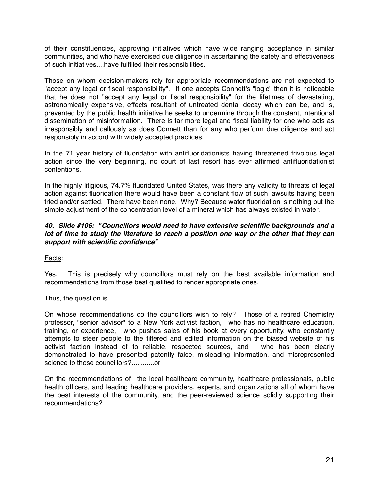of their constituencies, approving initiatives which have wide ranging acceptance in similar communities, and who have exercised due diligence in ascertaining the safety and effectiveness of such initiatives....have fulfilled their responsibilities.

Those on whom decision-makers rely for appropriate recommendations are not expected to "accept any legal or fiscal responsibility". If one accepts Connett's "logic" then it is noticeable that he does not "accept any legal or fiscal responsibility" for the lifetimes of devastating, astronomically expensive, effects resultant of untreated dental decay which can be, and is, prevented by the public health initiative he seeks to undermine through the constant, intentional dissemination of misinformation. There is far more legal and fiscal liability for one who acts as irresponsibly and callously as does Connett than for any who perform due diligence and act responsibly in accord with widely accepted practices.

In the 71 year history of fluoridation,with antifluoridationists having threatened frivolous legal action since the very beginning, no court of last resort has ever affirmed antifluoridationist contentions.

In the highly litigious, 74.7% fluoridated United States, was there any validity to threats of legal action against fluoridation there would have been a constant flow of such lawsuits having been tried and/or settled. There have been none. Why? Because water fluoridation is nothing but the simple adjustment of the concentration level of a mineral which has always existed in water.

### *40. Slide #106: "Councillors would need to have extensive scientific backgrounds and a lot of time to study the literature to reach a position one way or the other that they can support with scientific confidence"*

Facts:

Yes. This is precisely why councillors must rely on the best available information and recommendations from those best qualified to render appropriate ones.

Thus, the question is.....

On whose recommendations do the councillors wish to rely? Those of a retired Chemistry professor, "senior advisor" to a New York activist faction, who has no healthcare education, training, or experience, who pushes sales of his book at every opportunity, who constantly attempts to steer people to the filtered and edited information on the biased website of his activist faction instead of to reliable, respected sources, and who has been clearly demonstrated to have presented patently false, misleading information, and misrepresented science to those councillors?............or

On the recommendations of the local healthcare community, healthcare professionals, public health officers, and leading healthcare providers, experts, and organizations all of whom have the best interests of the community, and the peer-reviewed science solidly supporting their recommendations?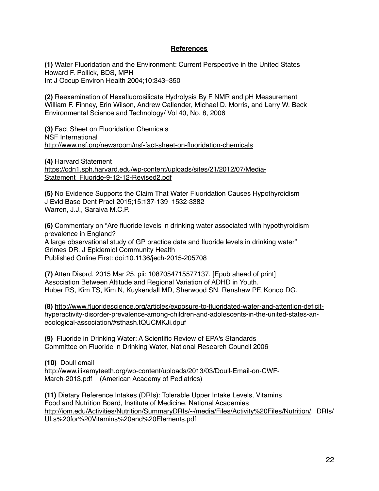#### **References**

**(1)** Water Fluoridation and the Environment: Current Perspective in the United States Howard F. Pollick, BDS, MPH Int J Occup Environ Health 2004;10:343–350

**(2)** Reexamination of Hexafluorosilicate Hydrolysis By F NMR and pH Measurement William F. Finney, Erin Wilson, Andrew Callender, Michael D. Morris, and Larry W. Beck Environmental Science and Technology/ Vol 40, No. 8, 2006

**(3)** Fact Sheet on Fluoridation Chemicals NSF International <http://www.nsf.org/newsroom/nsf-fact-sheet-on-fluoridation-chemicals>

**(4)** Harvard Statement [https://cdn1.sph.harvard.edu/wp-content/uploads/sites/21/2012/07/Media-](https://cdn1.sph.harvard.edu/wp-content/uploads/sites/21/2012/07/Media-Statement_Fluoride-9-12-12-Revised2.pdf)Statement\_Fluoride-9-12-12-Revised2.pdf

**(5)** No Evidence Supports the Claim That Water Fluoridation Causes Hypothyroidism J Evid Base Dent Pract 2015;15:137-139 1532-3382 Warren, J.J., Saraiva M.C.P.

**(6)** Commentary on "Are fluoride levels in drinking water associated with hypothyroidism prevalence in England? A large observational study of GP practice data and fluoride levels in drinking water" Grimes DR. J Epidemiol Community Health Published Online First: doi:10.1136/jech-2015-205708

**(7)** Atten Disord. 2015 Mar 25. pii: 1087054715577137. [Epub ahead of print] Association Between Altitude and Regional Variation of ADHD in Youth. Huber RS, Kim TS, Kim N, Kuykendall MD, Sherwood SN, Renshaw PF, Kondo DG.

**(8)** [http://www.fluoridescience.org/articles/exposure-to-fluoridated-water-and-attention-deficit](http://www.fluoridescience.org/articles/exposure-to-fluoridated-water-and-attention-deficit-)hyperactivity-disorder-prevalence-among-children-and-adolescents-in-the-united-states-anecological-association/#sthash.tQUCMKJi.dpuf

**(9)** Fluoride in Drinking Water: A Scientific Review of EPA's Standards Committee on Fluoride in Drinking Water, National Research Council 2006

**(10)** Doull email <http://www.ilikemyteeth.org/wp-content/uploads/2013/03/Doull-Email-on-CWF->March-2013.pdf (American Academy of Pediatrics)

**(11)** Dietary Reference Intakes (DRIs): Tolerable Upper Intake Levels, Vitamins Food and Nutrition Board, Institute of Medicine, National Academies [http://iom.edu/Activities/Nutrition/SummaryDRIs/~/media/Files/Activity%20Files/Nutrition/.](http://iom.edu/Activities/Nutrition/SummaryDRIs/~/media/Files/Activity%20Files/Nutrition/) DRIs/ ULs%20for%20Vitamins%20and%20Elements.pdf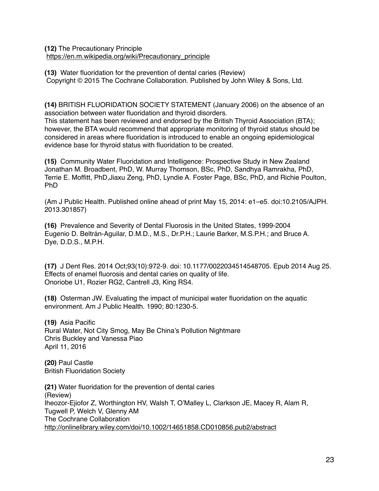**(12)** The Precautionary Principle [https://en.m.wikipedia.org/wiki/Precautionary\\_principle](https://en.m.wikipedia.org/wiki/Precautionary_principle)

**(13)** Water fluoridation for the prevention of dental caries (Review) Copyright © 2015 The Cochrane Collaboration. Published by John Wiley & Sons, Ltd.

**(14)** BRITISH FLUORIDATION SOCIETY STATEMENT (January 2006) on the absence of an association between water fluoridation and thyroid disorders.

This statement has been reviewed and endorsed by the British Thyroid Association (BTA); however, the BTA would recommend that appropriate monitoring of thyroid status should be considered in areas where fluoridation is introduced to enable an ongoing epidemiological evidence base for thyroid status with fluoridation to be created.

**(15)** Community Water Fluoridation and Intelligence: Prospective Study in New Zealand Jonathan M. Broadbent, PhD, W. Murray Thomson, BSc, PhD, Sandhya Ramrakha, PhD, Terrie E. Moffitt, PhD,Jiaxu Zeng, PhD, Lyndie A. Foster Page, BSc, PhD, and Richie Poulton, PhD

(Am J Public Health. Published online ahead of print May 15, 2014: e1–e5. doi:10.2105/AJPH. 2013.301857)

**(16)** Prevalence and Severity of Dental Fluorosis in the United States, 1999-2004 Eugenio D. Beltrán-Aguilar, D.M.D., M.S., Dr.P.H.; Laurie Barker, M.S.P.H.; and Bruce A. Dye, D.D.S., M.P.H.

**(17)** J Dent Res. 2014 Oct;93(10):972-9. doi: 10.1177/0022034514548705. Epub 2014 Aug 25. Effects of enamel fluorosis and dental caries on quality of life. Onoriobe U1, Rozier RG2, Cantrell J3, King RS4.

**(18)** Osterman JW. Evaluating the impact of municipal water fluoridation on the aquatic environment. Am J Public Health. 1990; 80:1230-5.

**(19)** Asia Pacific Rural Water, Not City Smog, May Be China's Pollution Nightmare Chris Buckley and Vanessa Piao April 11, 2016

**(20)** Paul Castle British Fluoridation Society

**(21)** Water fluoridation for the prevention of dental caries (Review) Iheozor-Ejiofor Z, Worthington HV, Walsh T, O'Malley L, Clarkson JE, Macey R, Alam R, Tugwell P, Welch V, Glenny AM The Cochrane Collaboration <http://onlinelibrary.wiley.com/doi/10.1002/14651858.CD010856.pub2/abstract>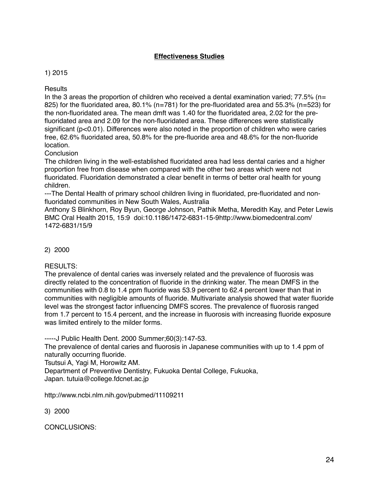# **Effectiveness Studies**

# 1) 2015

**Results** 

In the 3 areas the proportion of children who received a dental examination varied;  $77.5\%$  (n= 825) for the fluoridated area, 80.1% (n=781) for the pre-fluoridated area and 55.3% (n=523) for the non-fluoridated area. The mean dmft was 1.40 for the fluoridated area, 2.02 for the prefluoridated area and 2.09 for the non-fluoridated area. These differences were statistically significant (p<0.01). Differences were also noted in the proportion of children who were caries free, 62.6% fluoridated area, 50.8% for the pre-fluoride area and 48.6% for the non-fluoride location.

# **Conclusion**

The children living in the well-established fluoridated area had less dental caries and a higher proportion free from disease when compared with the other two areas which were not fluoridated. Fluoridation demonstrated a clear benefit in terms of better oral health for young children.

---The Dental Health of primary school children living in fluoridated, pre-fluoridated and nonfluoridated communities in New South Wales, Australia

Anthony S Blinkhorn, Roy Byun, George Johnson, Pathik Metha, Meredith Kay, and Peter Lewis BMC Oral Health 2015, 15:9 doi:10.1186/1472-6831-15-9http://www.biomedcentral.com/ 1472-6831/15/9

# 2) 2000

RESULTS:

The prevalence of dental caries was inversely related and the prevalence of fluorosis was directly related to the concentration of fluoride in the drinking water. The mean DMFS in the communities with 0.8 to 1.4 ppm fluoride was 53.9 percent to 62.4 percent lower than that in communities with negligible amounts of fluoride. Multivariate analysis showed that water fluoride level was the strongest factor influencing DMFS scores. The prevalence of fluorosis ranged from 1.7 percent to 15.4 percent, and the increase in fluorosis with increasing fluoride exposure was limited entirely to the milder forms.

-----J Public Health Dent. 2000 Summer;60(3):147-53.

The prevalence of dental caries and fluorosis in Japanese communities with up to 1.4 ppm of naturally occurring fluoride.

Tsutsui A, Yagi M, Horowitz AM.

Department of Preventive Dentistry, Fukuoka Dental College, Fukuoka, Japan. tutuia@college.fdcnet.ac.jp

http://www.ncbi.nlm.nih.gov/pubmed/11109211

3) 2000

CONCLUSIONS: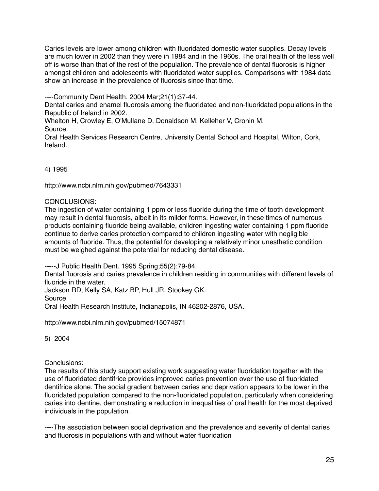Caries levels are lower among children with fluoridated domestic water supplies. Decay levels are much lower in 2002 than they were in 1984 and in the 1960s. The oral health of the less well off is worse than that of the rest of the population. The prevalence of dental fluorosis is higher amongst children and adolescents with fluoridated water supplies. Comparisons with 1984 data show an increase in the prevalence of fluorosis since that time.

----Community Dent Health. 2004 Mar;21(1):37-44.

Dental caries and enamel fluorosis among the fluoridated and non-fluoridated populations in the Republic of Ireland in 2002.

Whelton H, Crowley E, O'Mullane D, Donaldson M, Kelleher V, Cronin M.

Source

Oral Health Services Research Centre, University Dental School and Hospital, Wilton, Cork, Ireland.

4) 1995

http://www.ncbi.nlm.nih.gov/pubmed/7643331

CONCLUSIONS:

The ingestion of water containing 1 ppm or less fluoride during the time of tooth development may result in dental fluorosis, albeit in its milder forms. However, in these times of numerous products containing fluoride being available, children ingesting water containing 1 ppm fluoride continue to derive caries protection compared to children ingesting water with negligible amounts of fluoride. Thus, the potential for developing a relatively minor unesthetic condition must be weighed against the potential for reducing dental disease.

-----J Public Health Dent. 1995 Spring;55(2):79-84. Dental fluorosis and caries prevalence in children residing in communities with different levels of fluoride in the water. Jackson RD, Kelly SA, Katz BP, Hull JR, Stookey GK.

Source

Oral Health Research Institute, Indianapolis, IN 46202-2876, USA.

http://www.ncbi.nlm.nih.gov/pubmed/15074871

5) 2004

Conclusions:

The results of this study support existing work suggesting water fluoridation together with the use of fluoridated dentifrice provides improved caries prevention over the use of fluoridated dentifrice alone. The social gradient between caries and deprivation appears to be lower in the fluoridated population compared to the non-fluoridated population, particularly when considering caries into dentine, demonstrating a reduction in inequalities of oral health for the most deprived individuals in the population.

----The association between social deprivation and the prevalence and severity of dental caries and fluorosis in populations with and without water fluoridation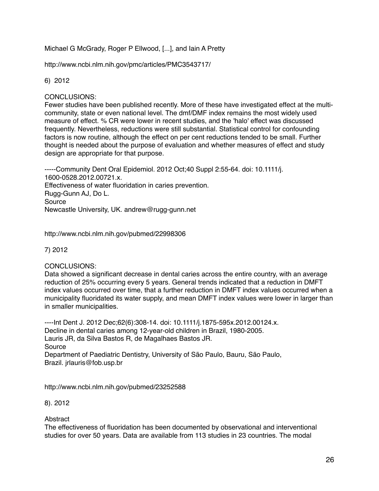# Michael G McGrady, Roger P Ellwood, [...], and Iain A Pretty

http://www.ncbi.nlm.nih.gov/pmc/articles/PMC3543717/

### 6) 2012

#### CONCLUSIONS:

Fewer studies have been published recently. More of these have investigated effect at the multicommunity, state or even national level. The dmf/DMF index remains the most widely used measure of effect. % CR were lower in recent studies, and the 'halo' effect was discussed frequently. Nevertheless, reductions were still substantial. Statistical control for confounding factors is now routine, although the effect on per cent reductions tended to be small. Further thought is needed about the purpose of evaluation and whether measures of effect and study design are appropriate for that purpose.

-----Community Dent Oral Epidemiol. 2012 Oct;40 Suppl 2:55-64. doi: 10.1111/j. 1600-0528.2012.00721.x. Effectiveness of water fluoridation in caries prevention. Rugg-Gunn AJ, Do L. Source Newcastle University, UK. andrew@rugg-gunn.net

http://www.ncbi.nlm.nih.gov/pubmed/22998306

7) 2012

### CONCLUSIONS:

Data showed a significant decrease in dental caries across the entire country, with an average reduction of 25% occurring every 5 years. General trends indicated that a reduction in DMFT index values occurred over time, that a further reduction in DMFT index values occurred when a municipality fluoridated its water supply, and mean DMFT index values were lower in larger than in smaller municipalities.

----Int Dent J. 2012 Dec;62(6):308-14. doi: 10.1111/j.1875-595x.2012.00124.x. Decline in dental caries among 12-year-old children in Brazil, 1980-2005. Lauris JR, da Silva Bastos R, de Magalhaes Bastos JR. Source Department of Paediatric Dentistry, University of São Paulo, Bauru, São Paulo, Brazil. jrlauris@fob.usp.br

http://www.ncbi.nlm.nih.gov/pubmed/23252588

### 8). 2012

### **Abstract**

The effectiveness of fluoridation has been documented by observational and interventional studies for over 50 years. Data are available from 113 studies in 23 countries. The modal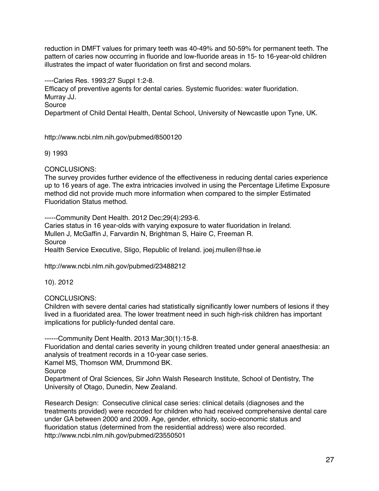reduction in DMFT values for primary teeth was 40-49% and 50-59% for permanent teeth. The pattern of caries now occurring in fluoride and low-fluoride areas in 15- to 16-year-old children illustrates the impact of water fluoridation on first and second molars.

----Caries Res. 1993;27 Suppl 1:2-8.

Efficacy of preventive agents for dental caries. Systemic fluorides: water fluoridation. Murray JJ.

Source

Department of Child Dental Health, Dental School, University of Newcastle upon Tyne, UK.

http://www.ncbi.nlm.nih.gov/pubmed/8500120

### 9) 1993

# CONCLUSIONS:

The survey provides further evidence of the effectiveness in reducing dental caries experience up to 16 years of age. The extra intricacies involved in using the Percentage Lifetime Exposure method did not provide much more information when compared to the simpler Estimated Fluoridation Status method.

-----Community Dent Health. 2012 Dec;29(4):293-6.

Caries status in 16 year-olds with varying exposure to water fluoridation in Ireland. Mullen J, McGaffin J, Farvardin N, Brightman S, Haire C, Freeman R. Source Health Service Executive, Sligo, Republic of Ireland. joej.mullen@hse.ie

http://www.ncbi.nlm.nih.gov/pubmed/23488212

10). 2012

### CONCLUSIONS:

Children with severe dental caries had statistically significantly lower numbers of lesions if they lived in a fluoridated area. The lower treatment need in such high-risk children has important implications for publicly-funded dental care.

------Community Dent Health. 2013 Mar;30(1):15-8.

Fluoridation and dental caries severity in young children treated under general anaesthesia: an analysis of treatment records in a 10-year case series.

Kamel MS, Thomson WM, Drummond BK.

Source

Department of Oral Sciences, Sir John Walsh Research Institute, School of Dentistry, The University of Otago, Dunedin, New Zealand.

Research Design: Consecutive clinical case series: clinical details (diagnoses and the treatments provided) were recorded for children who had received comprehensive dental care under GA between 2000 and 2009. Age, gender, ethnicity, socio-economic status and fluoridation status (determined from the residential address) were also recorded. http://www.ncbi.nlm.nih.gov/pubmed/23550501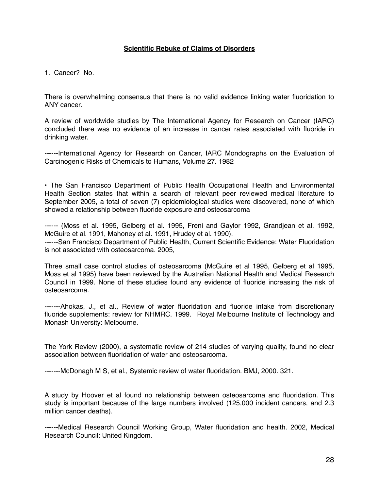### **Scientific Rebuke of Claims of Disorders**

1. Cancer? No.

There is overwhelming consensus that there is no valid evidence linking water fluoridation to ANY cancer.

A review of worldwide studies by The International Agency for Research on Cancer (IARC) concluded there was no evidence of an increase in cancer rates associated with fluoride in drinking water.

------International Agency for Research on Cancer, IARC Mondographs on the Evaluation of Carcinogenic Risks of Chemicals to Humans, Volume 27. 1982

• The San Francisco Department of Public Health Occupational Health and Environmental Health Section states that within a search of relevant peer reviewed medical literature to September 2005, a total of seven (7) epidemiological studies were discovered, none of which showed a relationship between fluoride exposure and osteosarcoma

------ (Moss et al. 1995, Gelberg et al. 1995, Freni and Gaylor 1992, Grandjean et al. 1992, McGuire et al. 1991, Mahoney et al. 1991, Hrudey et al. 1990). ------San Francisco Department of Public Health, Current Scientific Evidence: Water Fluoridation is not associated with osteosarcoma. 2005,

Three small case control studies of osteosarcoma (McGuire et al 1995, Gelberg et al 1995, Moss et al 1995) have been reviewed by the Australian National Health and Medical Research Council in 1999. None of these studies found any evidence of fluoride increasing the risk of osteosarcoma.

-------Ahokas, J., et al., Review of water fluoridation and fluoride intake from discretionary fluoride supplements: review for NHMRC. 1999. Royal Melbourne Institute of Technology and Monash University: Melbourne.

The York Review (2000), a systematic review of 214 studies of varying quality, found no clear association between fluoridation of water and osteosarcoma.

-------McDonagh M S, et al., Systemic review of water fluoridation. BMJ, 2000. 321.

A study by Hoover et al found no relationship between osteosarcoma and fluoridation. This study is important because of the large numbers involved (125,000 incident cancers, and 2.3 million cancer deaths).

------Medical Research Council Working Group, Water fluoridation and health. 2002, Medical Research Council: United Kingdom.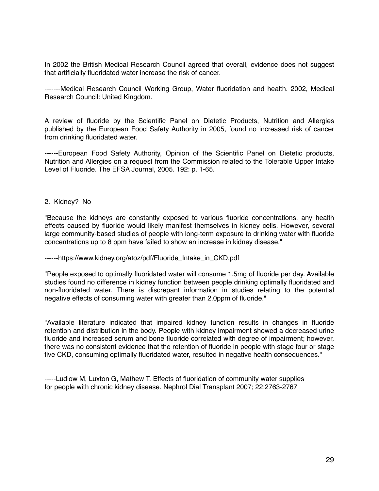In 2002 the British Medical Research Council agreed that overall, evidence does not suggest that artificially fluoridated water increase the risk of cancer.

-------Medical Research Council Working Group, Water fluoridation and health. 2002, Medical Research Council: United Kingdom.

A review of fluoride by the Scientific Panel on Dietetic Products, Nutrition and Allergies published by the European Food Safety Authority in 2005, found no increased risk of cancer from drinking fluoridated water.

------European Food Safety Authority, Opinion of the Scientific Panel on Dietetic products, Nutrition and Allergies on a request from the Commission related to the Tolerable Upper Intake Level of Fluoride. The EFSA Journal, 2005. 192: p. 1-65.

#### 2. Kidney? No

"Because the kidneys are constantly exposed to various fluoride concentrations, any health effects caused by fluoride would likely manifest themselves in kidney cells. However, several large community-based studies of people with long-term exposure to drinking water with fluoride concentrations up to 8 ppm have failed to show an increase in kidney disease."

#### ------https://www.kidney.org/atoz/pdf/Fluoride\_Intake\_in\_CKD.pdf

"People exposed to optimally fluoridated water will consume 1.5mg of fluoride per day. Available studies found no difference in kidney function between people drinking optimally fluoridated and non-fluoridated water. There is discrepant information in studies relating to the potential negative effects of consuming water with greater than 2.0ppm of fluoride."

"Available literature indicated that impaired kidney function results in changes in fluoride retention and distribution in the body. People with kidney impairment showed a decreased urine fluoride and increased serum and bone fluoride correlated with degree of impairment; however, there was no consistent evidence that the retention of fluoride in people with stage four or stage five CKD, consuming optimally fluoridated water, resulted in negative health consequences."

-----Ludlow M, Luxton G, Mathew T. Effects of fluoridation of community water supplies for people with chronic kidney disease. Nephrol Dial Transplant 2007; 22:2763-2767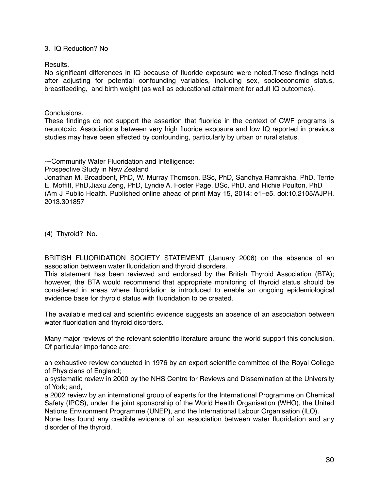#### 3. IQ Reduction? No

Results.

No significant differences in IQ because of fluoride exposure were noted.These findings held after adjusting for potential confounding variables, including sex, socioeconomic status, breastfeeding, and birth weight (as well as educational attainment for adult IQ outcomes).

#### Conclusions.

These findings do not support the assertion that fluoride in the context of CWF programs is neurotoxic. Associations between very high fluoride exposure and low IQ reported in previous studies may have been affected by confounding, particularly by urban or rural status.

---Community Water Fluoridation and Intelligence:

Prospective Study in New Zealand

Jonathan M. Broadbent, PhD, W. Murray Thomson, BSc, PhD, Sandhya Ramrakha, PhD, Terrie E. Moffitt, PhD,Jiaxu Zeng, PhD, Lyndie A. Foster Page, BSc, PhD, and Richie Poulton, PhD (Am J Public Health. Published online ahead of print May 15, 2014: e1–e5. doi:10.2105/AJPH. 2013.301857

(4) Thyroid? No.

BRITISH FLUORIDATION SOCIETY STATEMENT (January 2006) on the absence of an association between water fluoridation and thyroid disorders.

This statement has been reviewed and endorsed by the British Thyroid Association (BTA); however, the BTA would recommend that appropriate monitoring of thyroid status should be considered in areas where fluoridation is introduced to enable an ongoing epidemiological evidence base for thyroid status with fluoridation to be created.

The available medical and scientific evidence suggests an absence of an association between water fluoridation and thyroid disorders.

Many major reviews of the relevant scientific literature around the world support this conclusion. Of particular importance are:

an exhaustive review conducted in 1976 by an expert scientific committee of the Royal College of Physicians of England;

a systematic review in 2000 by the NHS Centre for Reviews and Dissemination at the University of York; and,

a 2002 review by an international group of experts for the International Programme on Chemical Safety (IPCS), under the joint sponsorship of the World Health Organisation (WHO), the United Nations Environment Programme (UNEP), and the International Labour Organisation (ILO).

None has found any credible evidence of an association between water fluoridation and any disorder of the thyroid.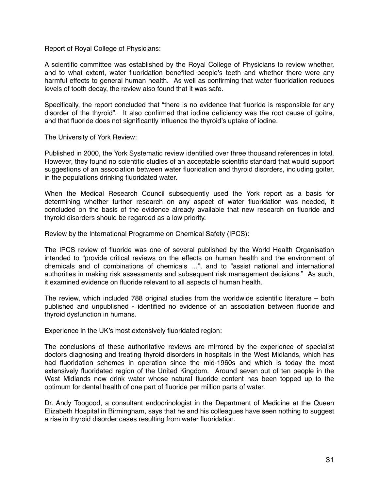Report of Royal College of Physicians:

A scientific committee was established by the Royal College of Physicians to review whether, and to what extent, water fluoridation benefited people's teeth and whether there were any harmful effects to general human health. As well as confirming that water fluoridation reduces levels of tooth decay, the review also found that it was safe.

Specifically, the report concluded that "there is no evidence that fluoride is responsible for any disorder of the thyroid". It also confirmed that iodine deficiency was the root cause of goitre, and that fluoride does not significantly influence the thyroid's uptake of iodine.

The University of York Review:

Published in 2000, the York Systematic review identified over three thousand references in total. However, they found no scientific studies of an acceptable scientific standard that would support suggestions of an association between water fluoridation and thyroid disorders, including goiter, in the populations drinking fluoridated water.

When the Medical Research Council subsequently used the York report as a basis for determining whether further research on any aspect of water fluoridation was needed, it concluded on the basis of the evidence already available that new research on fluoride and thyroid disorders should be regarded as a low priority.

Review by the International Programme on Chemical Safety (IPCS):

The IPCS review of fluoride was one of several published by the World Health Organisation intended to "provide critical reviews on the effects on human health and the environment of chemicals and of combinations of chemicals …", and to "assist national and international authorities in making risk assessments and subsequent risk management decisions." As such, it examined evidence on fluoride relevant to all aspects of human health.

The review, which included 788 original studies from the worldwide scientific literature – both published and unpublished - identified no evidence of an association between fluoride and thyroid dysfunction in humans.

Experience in the UK's most extensively fluoridated region:

The conclusions of these authoritative reviews are mirrored by the experience of specialist doctors diagnosing and treating thyroid disorders in hospitals in the West Midlands, which has had fluoridation schemes in operation since the mid-1960s and which is today the most extensively fluoridated region of the United Kingdom. Around seven out of ten people in the West Midlands now drink water whose natural fluoride content has been topped up to the optimum for dental health of one part of fluoride per million parts of water.

Dr. Andy Toogood, a consultant endocrinologist in the Department of Medicine at the Queen Elizabeth Hospital in Birmingham, says that he and his colleagues have seen nothing to suggest a rise in thyroid disorder cases resulting from water fluoridation.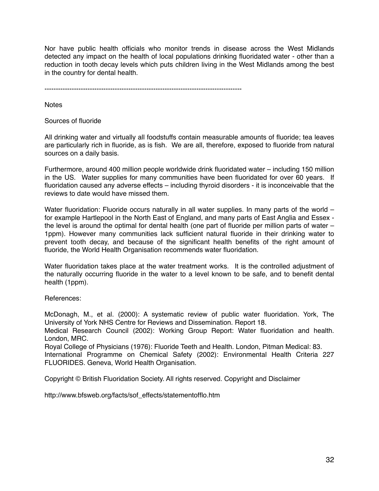Nor have public health officials who monitor trends in disease across the West Midlands detected any impact on the health of local populations drinking fluoridated water - other than a reduction in tooth decay levels which puts children living in the West Midlands among the best in the country for dental health.

---------------------------------------------------------------------------------------

**Notes** 

Sources of fluoride

All drinking water and virtually all foodstuffs contain measurable amounts of fluoride; tea leaves are particularly rich in fluoride, as is fish. We are all, therefore, exposed to fluoride from natural sources on a daily basis.

Furthermore, around 400 million people worldwide drink fluoridated water – including 150 million in the US. Water supplies for many communities have been fluoridated for over 60 years. If fluoridation caused any adverse effects – including thyroid disorders - it is inconceivable that the reviews to date would have missed them.

Water fluoridation: Fluoride occurs naturally in all water supplies. In many parts of the world – for example Hartlepool in the North East of England, and many parts of East Anglia and Essex the level is around the optimal for dental health (one part of fluoride per million parts of water – 1ppm). However many communities lack sufficient natural fluoride in their drinking water to prevent tooth decay, and because of the significant health benefits of the right amount of fluoride, the World Health Organisation recommends water fluoridation.

Water fluoridation takes place at the water treatment works. It is the controlled adjustment of the naturally occurring fluoride in the water to a level known to be safe, and to benefit dental health (1ppm).

References:

McDonagh, M., et al. (2000): A systematic review of public water fluoridation. York, The University of York NHS Centre for Reviews and Dissemination. Report 18.

Medical Research Council (2002): Working Group Report: Water fluoridation and health. London, MRC.

Royal College of Physicians (1976): Fluoride Teeth and Health. London, Pitman Medical: 83. International Programme on Chemical Safety (2002): Environmental Health Criteria 227 FLUORIDES. Geneva, World Health Organisation.

Copyright © British Fluoridation Society. All rights reserved. Copyright and Disclaimer

http://www.bfsweb.org/facts/sof\_effects/statementofflo.htm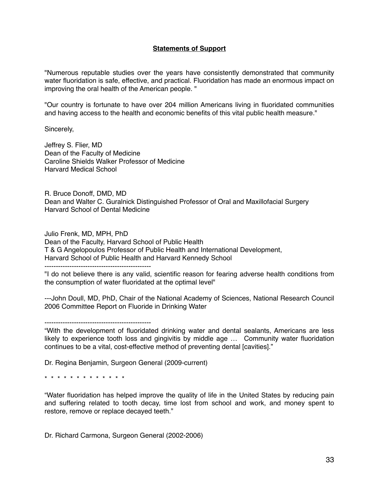### **Statements of Support**

"Numerous reputable studies over the years have consistently demonstrated that community water fluoridation is safe, effective, and practical. Fluoridation has made an enormous impact on improving the oral health of the American people. "

"Our country is fortunate to have over 204 million Americans living in fluoridated communities and having access to the health and economic benefits of this vital public health measure."

Sincerely,

Jeffrey S. Flier, MD Dean of the Faculty of Medicine Caroline Shields Walker Professor of Medicine Harvard Medical School

R. Bruce Donoff, DMD, MD Dean and Walter C. Guralnick Distinguished Professor of Oral and Maxillofacial Surgery Harvard School of Dental Medicine

Julio Frenk, MD, MPH, PhD

Dean of the Faculty, Harvard School of Public Health T & G Angelopoulos Professor of Public Health and International Development, Harvard School of Public Health and Harvard Kennedy School

-----------------------------------------------

"I do not believe there is any valid, scientific reason for fearing adverse health conditions from the consumption of water fluoridated at the optimal level"

---John Doull, MD, PhD, Chair of the National Academy of Sciences, National Research Council 2006 Committee Report on Fluoride in Drinking Water

-----------------------------------------------

"With the development of fluoridated drinking water and dental sealants, Americans are less likely to experience tooth loss and gingivitis by middle age … Community water fluoridation continues to be a vital, cost-effective method of preventing dental [cavities]."

Dr. Regina Benjamin, Surgeon General (2009-current)

\* \* \* \* \* \* \* \* \* \* \* \* \*

"Water fluoridation has helped improve the quality of life in the United States by reducing pain and suffering related to tooth decay, time lost from school and work, and money spent to restore, remove or replace decayed teeth."

Dr. Richard Carmona, Surgeon General (2002-2006)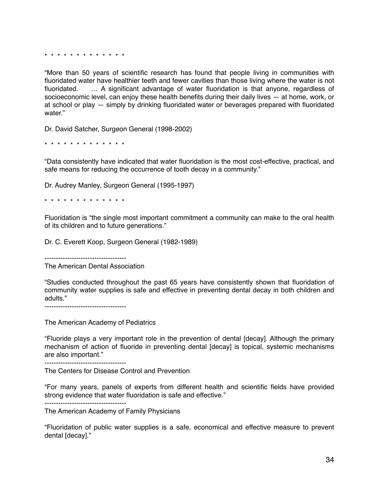\* \* \* \* \* \* \* \* \* \* \* \* \*

"More than 50 years of scientific research has found that people living in communities with fluoridated water have healthier teeth and fewer cavities than those living where the water is not fluoridated. … A significant advantage of water fluoridation is that anyone, regardless of socioeconomic level, can enjoy these health benefits during their daily lives — at home, work, or at school or play — simply by drinking fluoridated water or beverages prepared with fluoridated water."

Dr. David Satcher, Surgeon General (1998-2002)

\* \* \* \* \* \* \* \* \* \* \* \* \*

"Data consistently have indicated that water fluoridation is the most cost-effective, practical, and safe means for reducing the occurrence of tooth decay in a community."

Dr. Audrey Manley, Surgeon General (1995-1997)

\* \* \* \* \* \* \* \* \* \* \* \* \*

Fluoridation is "the single most important commitment a community can make to the oral health of its children and to future generations."

Dr. C. Everett Koop, Surgeon General (1982-1989)

------------------------------------

The American Dental Association

"Studies conducted throughout the past 65 years have consistently shown that fluoridation of community water supplies is safe and effective in preventing dental decay in both children and adults."

------------------------------------

The American Academy of Pediatrics

"Fluoride plays a very important role in the prevention of dental [decay]. Although the primary mechanism of action of fluoride in preventing dental [decay] is topical, systemic mechanisms are also important."

------------------------------------

The Centers for Disease Control and Prevention

"For many years, panels of experts from different health and scientific fields have provided strong evidence that water fluoridation is safe and effective." ------------------------------------

The American Academy of Family Physicians

"Fluoridation of public water supplies is a safe, economical and effective measure to prevent dental [decay]."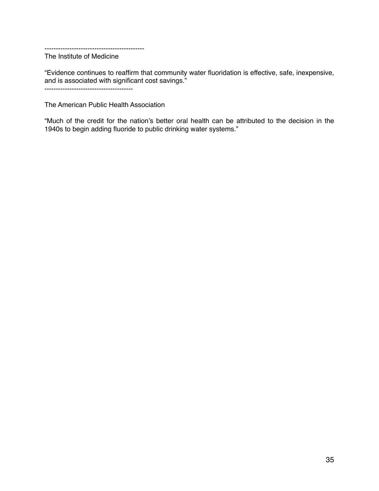--------------------------------------------

The Institute of Medicine

"Evidence continues to reaffirm that community water fluoridation is effective, safe, inexpensive, and is associated with significant cost savings."

---------------------------------------

The American Public Health Association

"Much of the credit for the nation's better oral health can be attributed to the decision in the 1940s to begin adding fluoride to public drinking water systems."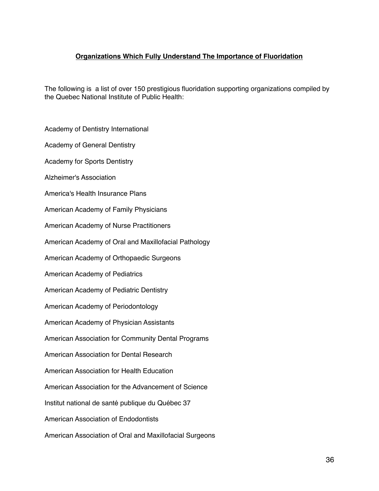# **Organizations Which Fully Understand The Importance of Fluoridation**

The following is a list of over 150 prestigious fluoridation supporting organizations compiled by the Quebec National Institute of Public Health:

Academy of Dentistry International

Academy of General Dentistry

Academy for Sports Dentistry

Alzheimer's Association

America's Health Insurance Plans

American Academy of Family Physicians

American Academy of Nurse Practitioners

American Academy of Oral and Maxillofacial Pathology

American Academy of Orthopaedic Surgeons

American Academy of Pediatrics

American Academy of Pediatric Dentistry

American Academy of Periodontology

American Academy of Physician Assistants

American Association for Community Dental Programs

American Association for Dental Research

American Association for Health Education

American Association for the Advancement of Science

Institut national de santé publique du Québec 37

American Association of Endodontists

American Association of Oral and Maxillofacial Surgeons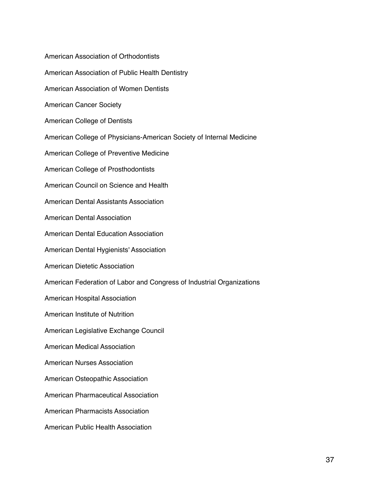American Association of Orthodontists American Association of Public Health Dentistry American Association of Women Dentists American Cancer Society American College of Dentists American College of Physicians-American Society of Internal Medicine American College of Preventive Medicine American College of Prosthodontists American Council on Science and Health American Dental Assistants Association American Dental Association American Dental Education Association American Dental Hygienists' Association American Dietetic Association American Federation of Labor and Congress of Industrial Organizations American Hospital Association American Institute of Nutrition American Legislative Exchange Council American Medical Association American Nurses Association American Osteopathic Association American Pharmaceutical Association American Pharmacists Association American Public Health Association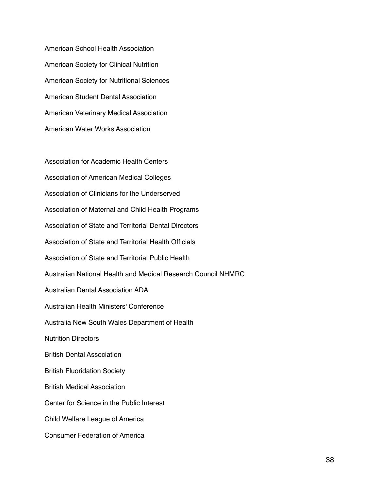American School Health Association American Society for Clinical Nutrition American Society for Nutritional Sciences American Student Dental Association American Veterinary Medical Association American Water Works Association

Association for Academic Health Centers Association of American Medical Colleges Association of Clinicians for the Underserved Association of Maternal and Child Health Programs Association of State and Territorial Dental Directors Association of State and Territorial Health Officials Association of State and Territorial Public Health Australian National Health and Medical Research Council NHMRC Australian Dental Association ADA Australian Health Ministers' Conference Australia New South Wales Department of Health Nutrition Directors British Dental Association British Fluoridation Society British Medical Association Center for Science in the Public Interest Child Welfare League of America Consumer Federation of America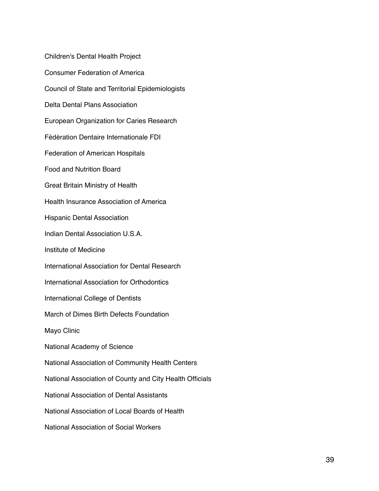Children's Dental Health Project Consumer Federation of America Council of State and Territorial Epidemiologists Delta Dental Plans Association European Organization for Caries Research Fédération Dentaire Internationale FDI Federation of American Hospitals Food and Nutrition Board Great Britain Ministry of Health Health Insurance Association of America Hispanic Dental Association Indian Dental Association U.S.A. Institute of Medicine International Association for Dental Research International Association for Orthodontics International College of Dentists March of Dimes Birth Defects Foundation Mayo Clinic National Academy of Science National Association of Community Health Centers National Association of County and City Health Officials National Association of Dental Assistants National Association of Local Boards of Health National Association of Social Workers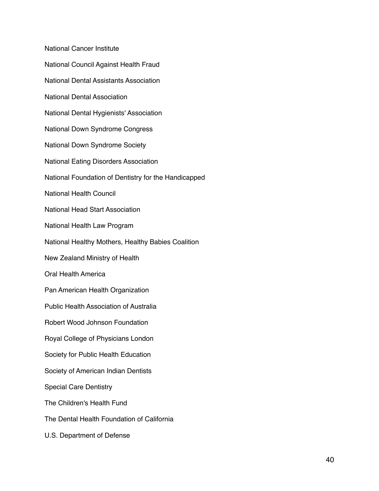National Cancer Institute National Council Against Health Fraud National Dental Assistants Association National Dental Association National Dental Hygienists' Association National Down Syndrome Congress National Down Syndrome Society National Eating Disorders Association National Foundation of Dentistry for the Handicapped National Health Council National Head Start Association National Health Law Program National Healthy Mothers, Healthy Babies Coalition New Zealand Ministry of Health Oral Health America Pan American Health Organization Public Health Association of Australia Robert Wood Johnson Foundation Royal College of Physicians London Society for Public Health Education Society of American Indian Dentists Special Care Dentistry The Children's Health Fund The Dental Health Foundation of California U.S. Department of Defense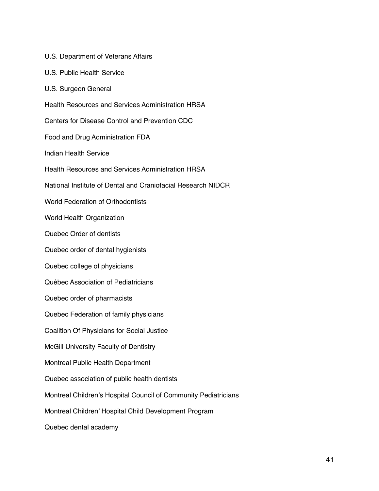U.S. Department of Veterans Affairs U.S. Public Health Service U.S. Surgeon General Health Resources and Services Administration HRSA Centers for Disease Control and Prevention CDC Food and Drug Administration FDA Indian Health Service Health Resources and Services Administration HRSA National Institute of Dental and Craniofacial Research NIDCR World Federation of Orthodontists World Health Organization Quebec Order of dentists Quebec order of dental hygienists Quebec college of physicians Québec Association of Pediatricians Quebec order of pharmacists Quebec Federation of family physicians Coalition Of Physicians for Social Justice McGill University Faculty of Dentistry Montreal Public Health Department Quebec association of public health dentists Montreal Children's Hospital Council of Community Pediatricians Montreal Children' Hospital Child Development Program Quebec dental academy